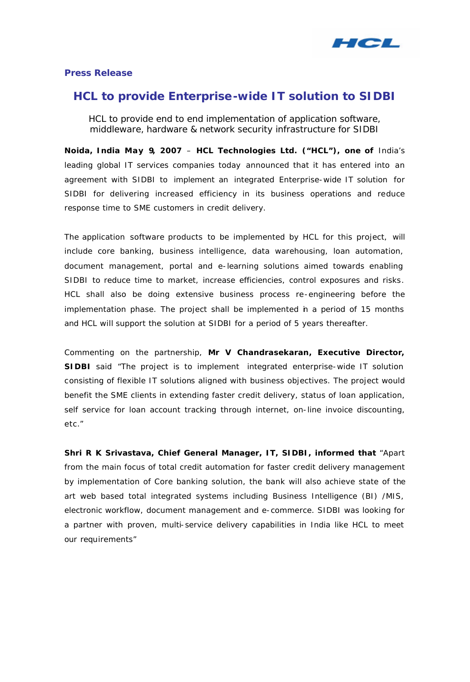

## **Press Release**

# **HCL to provide Enterprise-wide IT solution to SIDBI**

*HCL to provide end to end implementation of application software, middleware, hardware & network security infrastructure for SIDBI*

**Noida, India May 9, 2007** – **HCL Technologies Ltd. ("HCL"), one of** India's leading global IT services companies today announced that it has entered into an agreement with SIDBI to implement an integrated Enterprise-wide IT solution for SIDBI for delivering increased efficiency in its business operations and reduce response time to SME customers in credit delivery.

The application software products to be implemented by HCL for this project, will include core banking, business intelligence, data warehousing, loan automation, document management, portal and e-learning solutions aimed towards enabling SIDBI to reduce time to market, increase efficiencies, control exposures and risks. HCL shall also be doing extensive business process re-engineering before the implementation phase. The project shall be implemented in a period of 15 months and HCL will support the solution at SIDBI for a period of 5 years thereafter.

Commenting on the partnership, **Mr V Chandrasekaran, Executive Director, SIDBI** said "The project is to implement integrated enterprise-wide IT solution consisting of flexible IT solutions aligned with business objectives. The project would benefit the SME clients in extending faster credit delivery, status of loan application, self service for loan account tracking through internet, on-line invoice discounting, etc."

**Shri R K Srivastava, Chief General Manager, IT, SIDBI, informed that** "Apart from the main focus of total credit automation for faster credit delivery management by implementation of Core banking solution, the bank will also achieve state of the art web based total integrated systems including Business Intelligence (BI) /MIS, electronic workflow, document management and e-commerce. SIDBI was looking for a partner with proven, multi-service delivery capabilities in India like HCL to meet our requirements"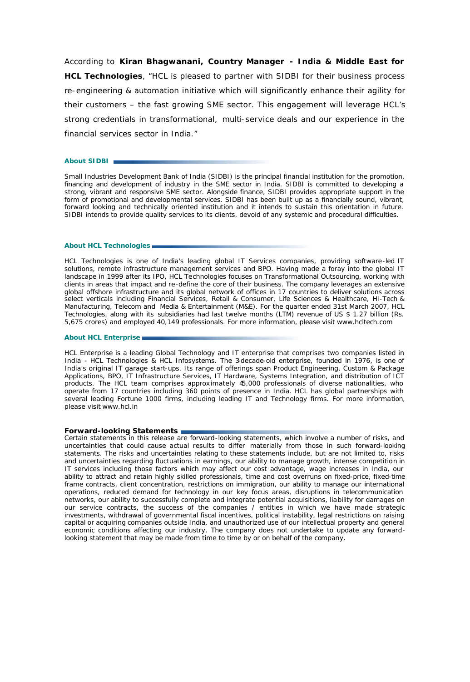According to **Kiran Bhagwanani, Country Manager - India & Middle East for HCL Technologies**, "HCL is pleased to partner with SIDBI for their business process re-engineering & automation initiative which will significantly enhance their agility for their customers – the fast growing SME sector. This engagement will leverage HCL's strong credentials in transformational, multi-service deals and our experience in the financial services sector in India."

#### **About SIDBI**

Small Industries Development Bank of India (SIDBI) is the principal financial institution for the promotion, financing and development of industry in the SME sector in India. SIDBI is committed to developing a strong, vibrant and responsive SME sector. Alongside finance, SIDBI provides appropriate support in the form of promotional and developmental services. SIDBI has been built up as a financially sound, vibrant, forward looking and technically oriented institution and it intends to sustain this orientation in future. SIDBI intends to provide quality services to its clients, devoid of any systemic and procedural difficulties.

### **About HCL Technologies**

HCL Technologies is one of India's leading global IT Services companies, providing software-led IT solutions, remote infrastructure management services and BPO. Having made a foray into the global IT landscape in 1999 after its IPO, HCL Technologies focuses on Transformational Outsourcing, working with clients in areas that impact and re-define the core of their business. The company leverages an extensive global offshore infrastructure and its global network of offices in 17 countries to deliver solutions across select verticals including Financial Services, Retail & Consumer, Life Sciences & Healthcare, Hi-Tech & Manufacturing, Telecom and Media & Entertainment (M&E). For the quarter ended 31st March 2007, HCL Technologies, along with its subsidiaries had last twelve months (LTM) revenue of US \$ 1.27 billion (Rs. 5,675 crores) and employed 40,149 professionals. For more information, please visit www.hcltech.com

#### **About HCL Enterprise**

HCL Enterprise is a leading Global Technology and IT enterprise that comprises two companies listed in India - HCL Technologies & HCL Infosystems. The 3-decade-old enterprise, founded in 1976, is one of India's original IT garage start-ups. Its range of offerings span Product Engineering, Custom & Package Applications, BPO, IT Infrastructure Services, IT Hardware, Systems Integration, and distribution of ICT products. The HCL team comprises approximately 45,000 professionals of diverse nationalities, who operate from 17 countries including 360 points of presence in India. HCL has global partnerships with several leading Fortune 1000 firms, including leading IT and Technology firms. For more information, please visit www.hcl.in

#### **Forward-looking Statements**

*Certain statements in this release are forward-looking statements, which involve a number of risks, and*  uncertainties that could cause actual results to differ materially from those in such forward-looking *statements. The risks and uncertainties relating to these statements include, but are not limited to, risks and uncertainties regarding fluctuations in earnings, our ability to manage growth, intense competition in IT services including those factors which may affect our cost advantage, wage increases in India, our ability to attract and retain highly skilled professionals, time and cost overruns on fixed-price, fixed-time frame contracts, client concentration, restrictions on immigration, our ability to manage our international operations, reduced demand for technology in our key focus areas, disruptions in telecommunication networks, our ability to successfully complete and integrate potential acquisitions, liability for damages on our service contracts, the success of the companies / entities in which we have made strategic investments, withdrawal of governmental fiscal incentives, political instability, legal restrictions on raising*  capital or acquiring companies outside India, and unauthorized use of our intellectual property and general *economic conditions affecting our industry. The company does not undertake to update any forwardlooking statement that may be made from time to time by or on behalf of the company.*